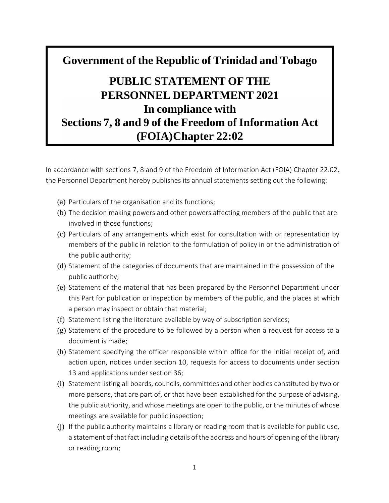# **Government of the Republic of Trinidad and Tobago PUBLIC STATEMENT OF THE PERSONNEL DEPARTMENT 2021 In compliance with Sections 7, 8 and 9 of the Freedom of Information Act (FOIA)Chapter 22:02**

In accordance with sections 7, 8 and 9 of the Freedom of Information Act (FOIA) Chapter 22:02, the Personnel Department hereby publishes its annual statements setting out the following:

- (a) Particulars of the organisation and its functions;
- (b) The decision making powers and other powers affecting members of the public that are involved in those functions;
- (c) Particulars of any arrangements which exist for consultation with or representation by members of the public in relation to the formulation of policy in or the administration of the public authority;
- (d) Statement of the categories of documents that are maintained in the possession of the public authority;
- (e) Statement of the material that has been prepared by the Personnel Department under this Part for publication or inspection by members of the public, and the places at which a person may inspect or obtain that material;
- (f) Statement listing the literature available by way of subscription services;
- (g) Statement of the procedure to be followed by a person when a request for access to a document is made;
- (h) Statement specifying the officer responsible within office for the initial receipt of, and action upon, notices under section 10, requests for access to documents under section 13 and applications under section 36;
- (i) Statement listing all boards, councils, committees and other bodies constituted by two or more persons, that are part of, or that have been established for the purpose of advising, the public authority, and whose meetings are open to the public, or the minutes of whose meetings are available for public inspection;
- (j) If the public authority maintains a library or reading room that is available for public use, a statement of that fact including details of the address and hours of opening of the library or reading room;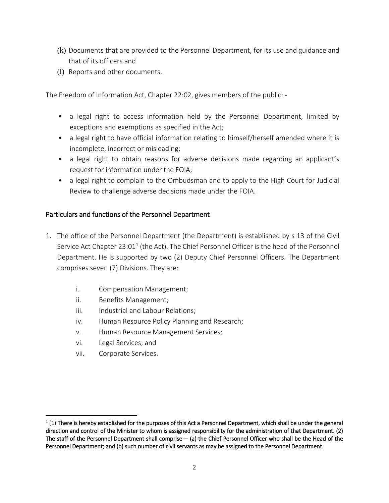- (k) Documents that are provided to the Personnel Department, for its use and guidance and that of its officers and
- (l) Reports and other documents.

The Freedom of Information Act, Chapter 22:02, gives members of the public: -

- a legal right to access information held by the Personnel Department, limited by exceptions and exemptions as specified in the Act;
- a legal right to have official information relating to himself/herself amended where it is incomplete, incorrect or misleading;
- a legal right to obtain reasons for adverse decisions made regarding an applicant's request for information under the FOIA;
- a legal right to complain to the Ombudsman and to apply to the High Court for Judicial Review to challenge adverse decisions made under the FOIA.

#### Particulars and functions of the Personnel Department

- 1. The office of the Personnel Department (the Department) is established by s 13 of the Civil Service Act Chapter 23:01<sup>1</sup> (the Act). The Chief Personnel Officer is the head of the Personnel Department. He is supported by two (2) Deputy Chief Personnel Officers. The Department comprises seven (7) Divisions. They are:
	- i. Compensation Management;
	- ii. Benefits Management;
	- iii. Industrial and Labour Relations;
	- iv. Human Resource Policy Planning and Research;
	- v. Human Resource Management Services;
	- vi. Legal Services; and
	- vii. Corporate Services.

l

 $1(1)$  There is hereby established for the purposes of this Act a Personnel Department, which shall be under the general direction and control of the Minister to whom is assigned responsibility for the administration of that Department. (2) The staff of the Personnel Department shall comprise— (a) the Chief Personnel Officer who shall be the Head of the Personnel Department; and (b) such number of civil servants as may be assigned to the Personnel Department.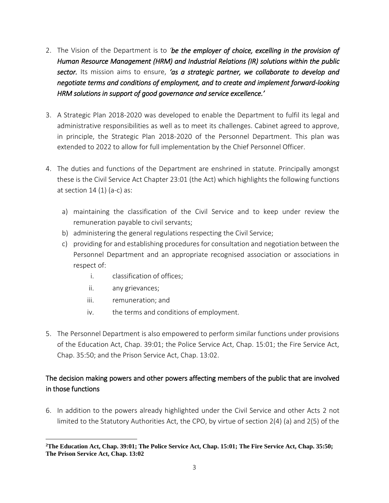- 2. The Vision of the Department is to *'be the employer of choice, excelling in the provision of Human Resource Management (HRM) and Industrial Relations (IR) solutions within the public sector.* Its mission aims to ensure, *'as a strategic partner, we collaborate to develop and negotiate terms and conditions of employment, and to create and implement forward-looking HRM solutions in support of good governance and service excellence.'*
- 3. A Strategic Plan 2018-2020 was developed to enable the Department to fulfil its legal and administrative responsibilities as well as to meet its challenges. Cabinet agreed to approve, in principle, the Strategic Plan 2018-2020 of the Personnel Department. This plan was extended to 2022 to allow for full implementation by the Chief Personnel Officer.
- 4. The duties and functions of the Department are enshrined in statute. Principally amongst these is the Civil Service Act Chapter 23:01 (the Act) which highlights the following functions at section  $14(1)(a-c)$  as:
	- a) maintaining the classification of the Civil Service and to keep under review the remuneration payable to civil servants;
	- b) administering the general regulations respecting the Civil Service;
	- c) providing for and establishing procedures for consultation and negotiation between the Personnel Department and an appropriate recognised association or associations in respect of:
		- i. classification of offices;
		- ii. any grievances;

 $\overline{\phantom{a}}$ 

- iii. remuneration; and
- iv. the terms and conditions of employment.
- 5. The Personnel Department is also empowered to perform similar functions under provisions of the Education Act, Chap. 39:01; the Police Service Act, Chap. 15:01; the Fire Service Act, Chap. 35:50; and the Prison Service Act, Chap. 13:02.

## The decision making powers and other powers affecting members of the public that are involved in those functions

6. In addition to the powers already highlighted under the Civil Service and other Acts 2 not limited to the Statutory Authorities Act, the CPO, by virtue of section 2(4) (a) and 2(5) of the

**<sup>2</sup>The Education Act, Chap. 39:01; The Police Service Act, Chap. 15:01; The Fire Service Act, Chap. 35:50; The Prison Service Act, Chap. 13:02**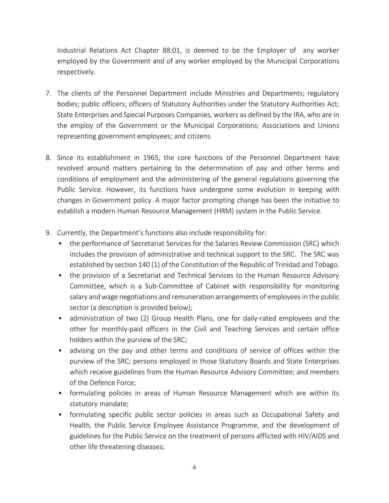Industrial Relations Act Chapter 88:01, is deemed to be the Employer of any worker employed by the Government and of any worker employed by the Municipal Corporations respectively.

- 7. The clients of the Personnel Department include Ministries and Departments; regulatory bodies; public officers; officers of Statutory Authorities under the Statutory Authorities Act; State Enterprises and Special Purposes Companies, workers as defined by the IRA, who are in the employ of the Government or the Municipal Corporations; Associations and Unions representing government employees; and citizens.
- 8. Since its establishment in 1965, the core functions of the Personnel Department have revolved around matters pertaining to the determination of pay and other terms and conditions of employment and the administering of the general regulations governing the Public Service. However, its functions have undergone some evolution in keeping with changes in Government policy. A major factor prompting change has been the initiative to establish a modern Human Resource Management (HRM) system in the Public Service.
- 9. Currently, the Department's functions also include responsibility for:
	- the performance of Secretariat Services for the Salaries Review Commission (SRC) which includes the provision of administrative and technical support to the SRC. The SRC was established by section 140 (1) of the Constitution of the Republic of Trinidad and Tobago.
	- the provision of a Secretariat and Technical Services to the Human Resource Advisory Committee, which is a Sub-Committee of Cabinet with responsibility for monitoring salary and wage negotiations and remuneration arrangements of employees in the public sector (a description is provided below);
	- administration of two (2) Group Health Plans, one for daily-rated employees and the other for monthly-paid officers in the Civil and Teaching Services and certain office holders within the purview of the SRC;
	- advising on the pay and other terms and conditions of service of offices within the purview of the SRC; persons employed in those Statutory Boards and State Enterprises which receive guidelines from the Human Resource Advisory Committee; and members of the Defence Force;
	- formulating policies in areas of Human Resource Management which are within its statutory mandate;
	- formulating specific public sector policies in areas such as Occupational Safety and Health, the Public Service Employee Assistance Programme, and the development of guidelines for the Public Service on the treatment of persons afflicted with HIV/AIDS and other life threatening diseases;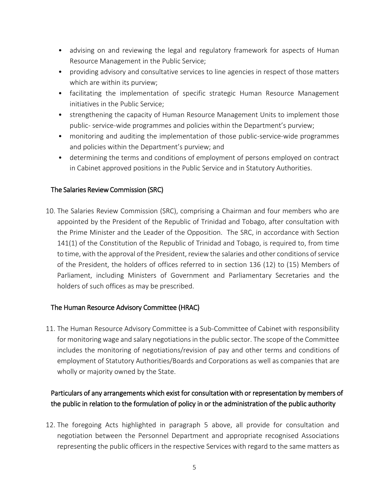- advising on and reviewing the legal and regulatory framework for aspects of Human Resource Management in the Public Service;
- providing advisory and consultative services to line agencies in respect of those matters which are within its purview;
- facilitating the implementation of specific strategic Human Resource Management initiatives in the Public Service;
- strengthening the capacity of Human Resource Management Units to implement those public- service-wide programmes and policies within the Department's purview;
- monitoring and auditing the implementation of those public-service-wide programmes and policies within the Department's purview; and
- determining the terms and conditions of employment of persons employed on contract in Cabinet approved positions in the Public Service and in Statutory Authorities.

### The Salaries Review Commission (SRC)

10. The Salaries Review Commission (SRC), comprising a Chairman and four members who are appointed by the President of the Republic of Trinidad and Tobago, after consultation with the Prime Minister and the Leader of the Opposition. The SRC, in accordance with Section 141(1) of the Constitution of the Republic of Trinidad and Tobago, is required to, from time to time, with the approval of the President, review the salaries and other conditions of service of the President, the holders of offices referred to in section 136 (12) to (15) Members of Parliament, including Ministers of Government and Parliamentary Secretaries and the holders of such offices as may be prescribed.

#### The Human Resource Advisory Committee (HRAC)

11. The Human Resource Advisory Committee is a Sub-Committee of Cabinet with responsibility for monitoring wage and salary negotiations in the public sector. The scope of the Committee includes the monitoring of negotiations/revision of pay and other terms and conditions of employment of Statutory Authorities/Boards and Corporations as well as companies that are wholly or majority owned by the State.

# Particulars of any arrangements which exist for consultation with or representation by members of the public in relation to the formulation of policy in or the administration of the public authority

12. The foregoing Acts highlighted in paragraph 5 above, all provide for consultation and negotiation between the Personnel Department and appropriate recognised Associations representing the public officers in the respective Services with regard to the same matters as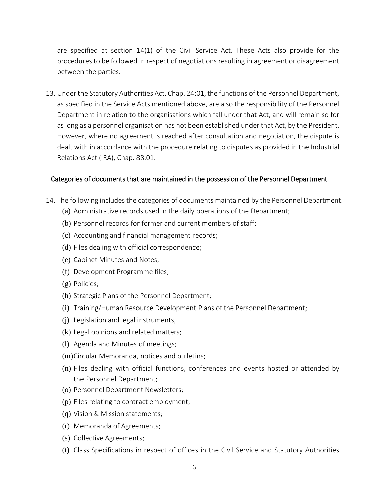are specified at section 14(1) of the Civil Service Act. These Acts also provide for the procedures to be followed in respect of negotiations resulting in agreement or disagreement between the parties.

13. Under the Statutory Authorities Act, Chap. 24:01, the functions of the Personnel Department, as specified in the Service Acts mentioned above, are also the responsibility of the Personnel Department in relation to the organisations which fall under that Act, and will remain so for as long as a personnel organisation has not been established under that Act, by the President. However, where no agreement is reached after consultation and negotiation, the dispute is dealt with in accordance with the procedure relating to disputes as provided in the Industrial Relations Act (IRA), Chap. 88:01.

#### Categories of documents that are maintained in the possession of the Personnel Department

- 14. The following includes the categories of documents maintained by the Personnel Department.
	- (a) Administrative records used in the daily operations of the Department;
	- (b) Personnel records for former and current members of staff;
	- (c) Accounting and financial management records;
	- (d) Files dealing with official correspondence;
	- (e) Cabinet Minutes and Notes;
	- (f) Development Programme files;
	- (g) Policies;
	- (h) Strategic Plans of the Personnel Department;
	- (i) Training/Human Resource Development Plans of the Personnel Department;
	- (j) Legislation and legal instruments;
	- (k) Legal opinions and related matters;
	- (l) Agenda and Minutes of meetings;
	- (m)Circular Memoranda, notices and bulletins;
	- (n) Files dealing with official functions, conferences and events hosted or attended by the Personnel Department;
	- (o) Personnel Department Newsletters;
	- (p) Files relating to contract employment;
	- (q) Vision & Mission statements;
	- (r) Memoranda of Agreements;
	- (s) Collective Agreements;
	- (t) Class Specifications in respect of offices in the Civil Service and Statutory Authorities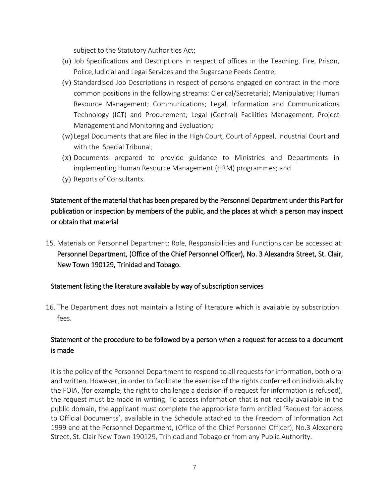subject to the Statutory Authorities Act;

- (u) Job Specifications and Descriptions in respect of offices in the Teaching, Fire, Prison, Police,Judicial and Legal Services and the Sugarcane Feeds Centre;
- (v) Standardised Job Descriptions in respect of persons engaged on contract in the more common positions in the following streams: Clerical/Secretarial; Manipulative; Human Resource Management; Communications; Legal, Information and Communications Technology (ICT) and Procurement; Legal (Central) Facilities Management; Project Management and Monitoring and Evaluation;
- (w) Legal Documents that are filed in the High Court, Court of Appeal, Industrial Court and with the Special Tribunal;
- (x) Documents prepared to provide guidance to Ministries and Departments in implementing Human Resource Management (HRM) programmes; and
- (y) Reports of Consultants.

## Statement of the material that has been prepared by the Personnel Department under this Part for publication or inspection by members of the public, and the places at which a person may inspect or obtain that material

15. Materials on Personnel Department: Role, Responsibilities and Functions can be accessed at: Personnel Department, (Office of the Chief Personnel Officer), No. 3 Alexandra Street, St. Clair, New Town 190129, Trinidad and Tobago.

#### Statement listing the literature available by way of subscription services

16. The Department does not maintain a listing of literature which is available by subscription fees.

## Statement of the procedure to be followed by a person when a request for access to a document is made

It is the policy of the Personnel Department to respond to all requests for information, both oral and written. However, in order to facilitate the exercise of the rights conferred on individuals by the FOIA, (for example, the right to challenge a decision if a request for information is refused), the request must be made in writing. To access information that is not readily available in the public domain, the applicant must complete the appropriate form entitled 'Request for access to Official Documents', available in the Schedule attached to the Freedom of Information Act 1999 and at the Personnel Department, (Office of the Chief Personnel Officer), No.3 Alexandra Street, St. Clair New Town 190129, Trinidad and Tobago or from any Public Authority.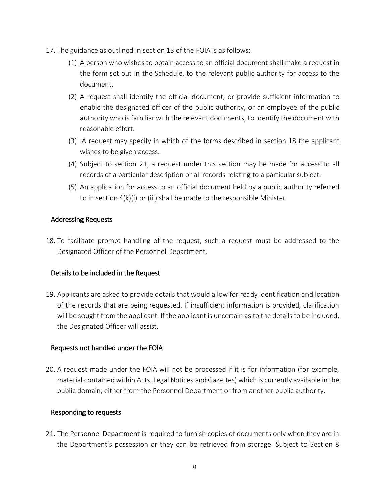- 17. The guidance as outlined in section 13 of the FOIA is as follows;
	- (1) A person who wishes to obtain access to an official document shall make a request in the form set out in the Schedule, to the relevant public authority for access to the document.
	- (2) A request shall identify the official document, or provide sufficient information to enable the designated officer of the public authority, or an employee of the public authority who is familiar with the relevant documents, to identify the document with reasonable effort.
	- (3) A request may specify in which of the forms described in section 18 the applicant wishes to be given access.
	- (4) Subject to section 21, a request under this section may be made for access to all records of a particular description or all records relating to a particular subject.
	- (5) An application for access to an official document held by a public authority referred to in section 4(k)(i) or (iii) shall be made to the responsible Minister.

#### Addressing Requests

18. To facilitate prompt handling of the request, such a request must be addressed to the Designated Officer of the Personnel Department.

#### Details to be included in the Request

19. Applicants are asked to provide details that would allow for ready identification and location of the records that are being requested. If insufficient information is provided, clarification will be sought from the applicant. If the applicant is uncertain as to the details to be included, the Designated Officer will assist.

#### Requests not handled under the FOIA

20. A request made under the FOIA will not be processed if it is for information (for example, material contained within Acts, Legal Notices and Gazettes) which is currently available in the public domain, either from the Personnel Department or from another public authority.

#### Responding to requests

21. The Personnel Department is required to furnish copies of documents only when they are in the Department's possession or they can be retrieved from storage. Subject to Section 8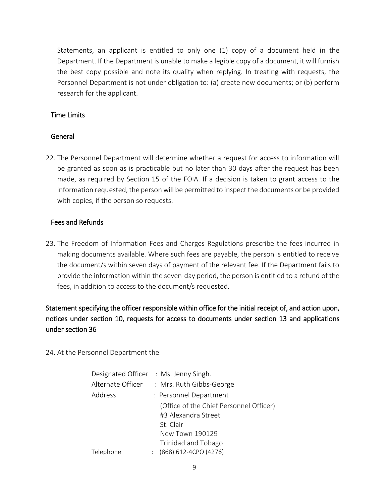Statements, an applicant is entitled to only one (1) copy of a document held in the Department. If the Department is unable to make a legible copy of a document, it will furnish the best copy possible and note its quality when replying. In treating with requests, the Personnel Department is not under obligation to: (a) create new documents; or (b) perform research for the applicant.

#### Time Limits

#### General

22. The Personnel Department will determine whether a request for access to information will be granted as soon as is practicable but no later than 30 days after the request has been made, as required by Section 15 of the FOIA. If a decision is taken to grant access to the information requested, the person will be permitted to inspect the documents or be provided with copies, if the person so requests.

#### Fees and Refunds

23. The Freedom of Information Fees and Charges Regulations prescribe the fees incurred in making documents available. Where such fees are payable, the person is entitled to receive the document/s within seven days of payment of the relevant fee. If the Department fails to provide the information within the seven-day period, the person is entitled to a refund of the fees, in addition to access to the document/s requested.

# Statement specifying the officer responsible within office for the initial receipt of, and action upon, notices under section 10, requests for access to documents under section 13 and applications under section 36

24. At the Personnel Department the

|                   | Designated Officer : Ms. Jenny Singh.                                       |
|-------------------|-----------------------------------------------------------------------------|
| Alternate Officer | : Mrs. Ruth Gibbs-George                                                    |
| Address           | : Personnel Department                                                      |
|                   | (Office of the Chief Personnel Officer)<br>#3 Alexandra Street<br>St. Clair |
|                   | New Town 190129                                                             |
|                   | Trinidad and Tobago                                                         |
| Telephone         | $(868)$ 612-4CPO (4276)                                                     |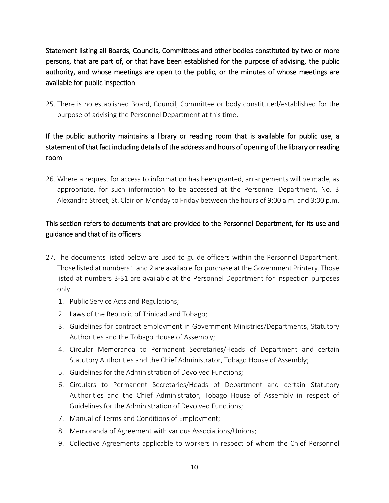Statement listing all Boards, Councils, Committees and other bodies constituted by two or more persons, that are part of, or that have been established for the purpose of advising, the public authority, and whose meetings are open to the public, or the minutes of whose meetings are available for public inspection

25. There is no established Board, Council, Committee or body constituted/established for the purpose of advising the Personnel Department at this time.

# If the public authority maintains a library or reading room that is available for public use, a statement of that fact including details of the address and hours of opening of the library or reading room

26. Where a request for access to information has been granted, arrangements will be made, as appropriate, for such information to be accessed at the Personnel Department, No. 3 Alexandra Street, St. Clair on Monday to Friday between the hours of 9:00 a.m. and 3:00 p.m.

## This section refers to documents that are provided to the Personnel Department, for its use and guidance and that of its officers

- 27. The documents listed below are used to guide officers within the Personnel Department. Those listed at numbers 1 and 2 are available for purchase at the Government Printery. Those listed at numbers 3-31 are available at the Personnel Department for inspection purposes only.
	- 1. Public Service Acts and Regulations;
	- 2. Laws of the Republic of Trinidad and Tobago;
	- 3. Guidelines for contract employment in Government Ministries/Departments, Statutory Authorities and the Tobago House of Assembly;
	- 4. Circular Memoranda to Permanent Secretaries/Heads of Department and certain Statutory Authorities and the Chief Administrator, Tobago House of Assembly;
	- 5. Guidelines for the Administration of Devolved Functions;
	- 6. Circulars to Permanent Secretaries/Heads of Department and certain Statutory Authorities and the Chief Administrator, Tobago House of Assembly in respect of Guidelines for the Administration of Devolved Functions;
	- 7. Manual of Terms and Conditions of Employment;
	- 8. Memoranda of Agreement with various Associations/Unions;
	- 9. Collective Agreements applicable to workers in respect of whom the Chief Personnel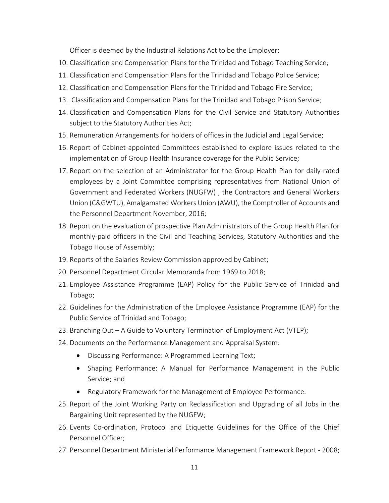Officer is deemed by the Industrial Relations Act to be the Employer;

- 10. Classification and Compensation Plans for the Trinidad and Tobago Teaching Service;
- 11. Classification and Compensation Plans for the Trinidad and Tobago Police Service;
- 12. Classification and Compensation Plans for the Trinidad and Tobago Fire Service;
- 13. Classification and Compensation Plans for the Trinidad and Tobago Prison Service;
- 14. Classification and Compensation Plans for the Civil Service and Statutory Authorities subject to the Statutory Authorities Act;
- 15. Remuneration Arrangements for holders of offices in the Judicial and Legal Service;
- 16. Report of Cabinet-appointed Committees established to explore issues related to the implementation of Group Health Insurance coverage for the Public Service;
- 17. Report on the selection of an Administrator for the Group Health Plan for daily-rated employees by a Joint Committee comprising representatives from National Union of Government and Federated Workers (NUGFW) , the Contractors and General Workers Union (C&GWTU), Amalgamated Workers Union (AWU), the Comptroller of Accounts and the Personnel Department November, 2016;
- 18. Report on the evaluation of prospective Plan Administrators of the Group Health Plan for monthly-paid officers in the Civil and Teaching Services, Statutory Authorities and the Tobago House of Assembly;
- 19. Reports of the Salaries Review Commission approved by Cabinet;
- 20. Personnel Department Circular Memoranda from 1969 to 2018;
- 21. Employee Assistance Programme (EAP) Policy for the Public Service of Trinidad and Tobago;
- 22. Guidelines for the Administration of the Employee Assistance Programme (EAP) for the Public Service of Trinidad and Tobago;
- 23. Branching Out A Guide to Voluntary Termination of Employment Act (VTEP);
- 24. Documents on the Performance Management and Appraisal System:
	- Discussing Performance: A Programmed Learning Text;
	- Shaping Performance: A Manual for Performance Management in the Public Service; and
	- Regulatory Framework for the Management of Employee Performance.
- 25. Report of the Joint Working Party on Reclassification and Upgrading of all Jobs in the Bargaining Unit represented by the NUGFW;
- 26. Events Co-ordination, Protocol and Etiquette Guidelines for the Office of the Chief Personnel Officer;
- 27. Personnel Department Ministerial Performance Management Framework Report 2008;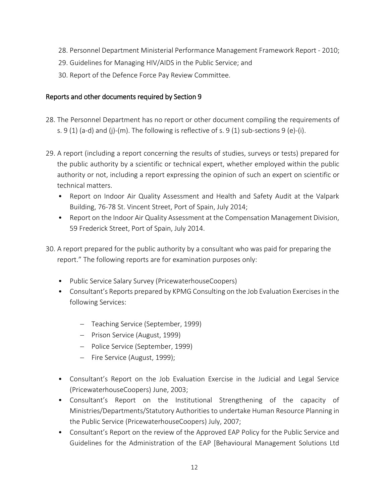- 28. Personnel Department Ministerial Performance Management Framework Report 2010;
- 29. Guidelines for Managing HIV/AIDS in the Public Service; and
- 30. Report of the Defence Force Pay Review Committee.

#### Reports and other documents required by Section 9

- 28. The Personnel Department has no report or other document compiling the requirements of s. 9 (1) (a-d) and (j)-(m). The following is reflective of s. 9 (1) sub-sections 9 (e)-(j).
- 29. A report (including a report concerning the results of studies, surveys or tests) prepared for the public authority by a scientific or technical expert, whether employed within the public authority or not, including a report expressing the opinion of such an expert on scientific or technical matters.
	- Report on Indoor Air Quality Assessment and Health and Safety Audit at the Valpark Building, 76-78 St. Vincent Street, Port of Spain, July 2014;
	- Report on the Indoor Air Quality Assessment at the Compensation Management Division, 59 Frederick Street, Port of Spain, July 2014.
- 30. A report prepared for the public authority by a consultant who was paid for preparing the report." The following reports are for examination purposes only:
	- Public Service Salary Survey (PricewaterhouseCoopers)
	- Consultant's Reports prepared by KPMG Consulting on the Job Evaluation Exercises in the following Services:
		- Teaching Service (September, 1999)
		- Prison Service (August, 1999)
		- Police Service (September, 1999)
		- Fire Service (August, 1999);
	- Consultant's Report on the Job Evaluation Exercise in the Judicial and Legal Service (PricewaterhouseCoopers) June, 2003;
	- Consultant's Report on the Institutional Strengthening of the capacity of Ministries/Departments/Statutory Authorities to undertake Human Resource Planning in the Public Service (PricewaterhouseCoopers) July, 2007;
	- Consultant's Report on the review of the Approved EAP Policy for the Public Service and Guidelines for the Administration of the EAP [Behavioural Management Solutions Ltd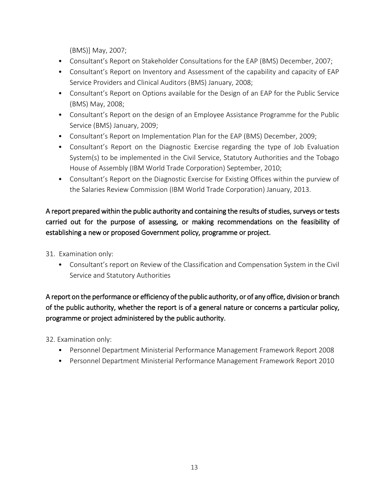(BMS)] May, 2007;

- Consultant's Report on Stakeholder Consultations for the EAP (BMS) December, 2007;
- Consultant's Report on Inventory and Assessment of the capability and capacity of EAP Service Providers and Clinical Auditors (BMS) January, 2008;
- Consultant's Report on Options available for the Design of an EAP for the Public Service (BMS) May, 2008;
- Consultant's Report on the design of an Employee Assistance Programme for the Public Service (BMS) January, 2009;
- Consultant's Report on Implementation Plan for the EAP (BMS) December, 2009;
- Consultant's Report on the Diagnostic Exercise regarding the type of Job Evaluation System(s) to be implemented in the Civil Service, Statutory Authorities and the Tobago House of Assembly (IBM World Trade Corporation) September, 2010;
- Consultant's Report on the Diagnostic Exercise for Existing Offices within the purview of the Salaries Review Commission (IBM World Trade Corporation) January, 2013.

# A report prepared within the public authority and containing the results of studies, surveys or tests carried out for the purpose of assessing, or making recommendations on the feasibility of establishing a new or proposed Government policy, programme or project.

- 31. Examination only:
	- Consultant's report on Review of the Classification and Compensation System in the Civil Service and Statutory Authorities

# A report on the performance or efficiency of the public authority, or of any office, division or branch of the public authority, whether the report is of a general nature or concerns a particular policy, programme or project administered by the public authority.

32. Examination only:

- Personnel Department Ministerial Performance Management Framework Report 2008
- Personnel Department Ministerial Performance Management Framework Report 2010